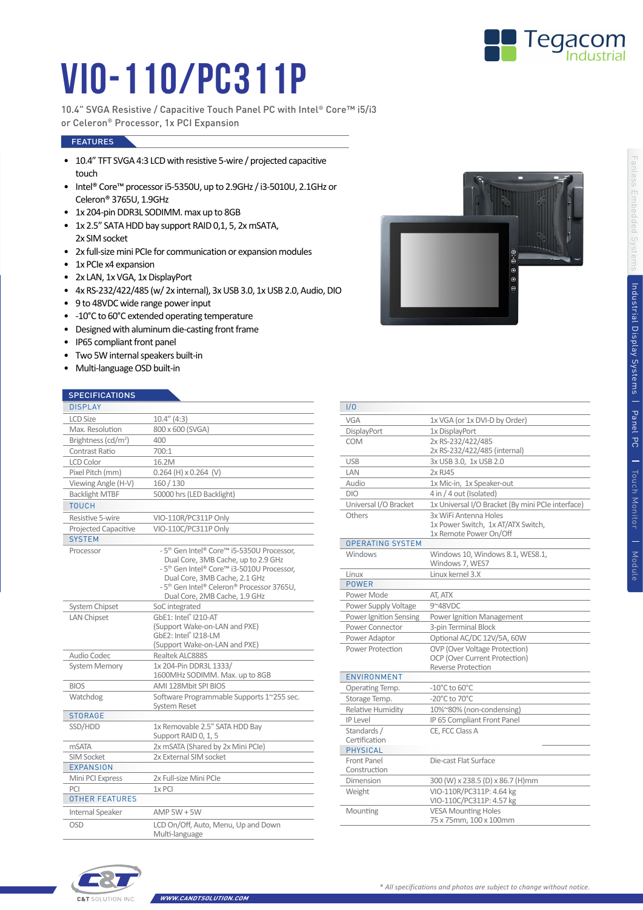

 $0.9$ k  $\vert$ c

## VIO-110/PC311P

10.4" SVGA Resistive / Capacitive Touch Panel PC with Intel® Core™ i5/i3 or Celeron® Processor, 1x PCI Expansion

## **FEATURES**

- 10.4" TFT SVGA 4:3 LCD with resistive 5-wire / projected capacitive touch
- Intel® Core™ processor i5-5350U, up to 2.9GHz / i3-5010U, 2.1GHz or Celeron® 3765U, 1.9GHz
- 1x 204-pin DDR3L SODIMM. max up to 8GB
- 1x 2.5" SATA HDD bay support RAID 0,1, 5, 2x mSATA, 2x SIM socket
- 2x full-size mini PCIe for communication or expansion modules
- 1x PCIe x4 expansion
- 2x LAN, 1x VGA, 1x DisplayPort
- 4x RS-232/422/485 (w/ 2x internal), 3x USB 3.0, 1x USB 2.0, Audio, DIO
- 9 to 48VDC wide range power input
- -10°C to 60°C extended operating temperature
- Designed with aluminum die-casting front frame
- IP65 compliant front panel
- Two 5W internal speakers built-in
- Multi-language OSD built-in

## **SPECIFICATIONS**

| $31$ LOT TOATTONS               |                                                                                                                                                                                                                                                                                                 |  |  |
|---------------------------------|-------------------------------------------------------------------------------------------------------------------------------------------------------------------------------------------------------------------------------------------------------------------------------------------------|--|--|
| <b>DISPLAY</b>                  |                                                                                                                                                                                                                                                                                                 |  |  |
| <b>LCD Size</b>                 | $10.4''$ (4:3)                                                                                                                                                                                                                                                                                  |  |  |
| Max. Resolution                 | 800 x 600 (SVGA)                                                                                                                                                                                                                                                                                |  |  |
| Brightness (cd/m <sup>2</sup> ) | 400                                                                                                                                                                                                                                                                                             |  |  |
| Contrast Ratio                  | 700:1                                                                                                                                                                                                                                                                                           |  |  |
| <b>LCD Color</b>                | 16.2M                                                                                                                                                                                                                                                                                           |  |  |
| Pixel Pitch (mm)                | $0.264$ (H) $\times$ 0.264 (V)                                                                                                                                                                                                                                                                  |  |  |
| Viewing Angle (H-V)             | 160 / 130                                                                                                                                                                                                                                                                                       |  |  |
| <b>Backlight MTBF</b>           | 50000 hrs (LED Backlight)                                                                                                                                                                                                                                                                       |  |  |
| <b>TOUCH</b>                    |                                                                                                                                                                                                                                                                                                 |  |  |
| Resistive 5-wire                | VIO-110R/PC311P Only                                                                                                                                                                                                                                                                            |  |  |
| Projected Capacitive            | VIO-110C/PC311P Only                                                                                                                                                                                                                                                                            |  |  |
| <b>SYSTEM</b>                   |                                                                                                                                                                                                                                                                                                 |  |  |
| Processor                       | - 5 <sup>th</sup> Gen Intel® Core <sup>™</sup> i5-5350U Processor,<br>Dual Core, 3MB Cache, up to 2.9 GHz<br>- 5 <sup>th</sup> Gen Intel® Core™ i3-5010U Processor.<br>Dual Core, 3MB Cache, 2.1 GHz<br>- 5 <sup>th</sup> Gen Intel® Celeron® Processor 3765U.<br>Dual Core, 2MB Cache, 1.9 GHz |  |  |
| System Chipset                  | SoC integrated                                                                                                                                                                                                                                                                                  |  |  |
| <b>LAN Chipset</b>              | GbE1: Intel® I210-AT<br>(Support Wake-on-LAN and PXE)                                                                                                                                                                                                                                           |  |  |
|                                 | GbE2: Intel® I218-LM<br>(Support Wake-on-LAN and PXE)                                                                                                                                                                                                                                           |  |  |
| Audio Codec                     | Realtek ALC888S                                                                                                                                                                                                                                                                                 |  |  |
| <b>System Memory</b>            | 1x 204-Pin DDR3L 1333/                                                                                                                                                                                                                                                                          |  |  |
|                                 | 1600MHz SODIMM. Max. up to 8GB                                                                                                                                                                                                                                                                  |  |  |
| <b>BIOS</b>                     | AMI 128Mbit SPI BIOS                                                                                                                                                                                                                                                                            |  |  |
| Watchdog                        | Software Programmable Supports 1~255 sec.<br><b>System Reset</b>                                                                                                                                                                                                                                |  |  |
| <b>STORAGE</b>                  |                                                                                                                                                                                                                                                                                                 |  |  |
| SSD/HDD                         | 1x Removable 2.5" SATA HDD Bay<br>Support RAID 0, 1, 5                                                                                                                                                                                                                                          |  |  |
| <b>mSATA</b>                    | 2x mSATA (Shared by 2x Mini PCle)                                                                                                                                                                                                                                                               |  |  |
| SIM Socket                      | 2x External SIM socket                                                                                                                                                                                                                                                                          |  |  |
| <b>EXPANSION</b>                |                                                                                                                                                                                                                                                                                                 |  |  |
| Mini PCI Express                | 2x Full-size Mini PCIe                                                                                                                                                                                                                                                                          |  |  |
| PCI                             | 1x PCI                                                                                                                                                                                                                                                                                          |  |  |
| <b>OTHER FEATURES</b>           |                                                                                                                                                                                                                                                                                                 |  |  |
| Internal Speaker                | $AMP$ 5W + 5W                                                                                                                                                                                                                                                                                   |  |  |
| OSD                             | LCD On/Off, Auto, Menu, Up and Down<br>Multi-language                                                                                                                                                                                                                                           |  |  |

| 1/0                     |                                                                       |  |
|-------------------------|-----------------------------------------------------------------------|--|
| VGA                     | 1x VGA (or 1x DVI-D by Order)                                         |  |
| DisplayPort             | 1x DisplayPort                                                        |  |
| COM                     | 2x RS-232/422/485                                                     |  |
|                         | 2x RS-232/422/485 (internal)                                          |  |
| <b>USB</b>              | 3x USB 3.0, 1x USB 2.0                                                |  |
| LAN                     | 2x RJ45                                                               |  |
| Audio                   | 1x Mic-in, 1x Speaker-out                                             |  |
| <b>DIO</b>              | 4 in / 4 out (Isolated)                                               |  |
| Universal I/O Bracket   | 1x Universal I/O Bracket (By mini PCIe interface)                     |  |
| Others                  | 3x WiFi Antenna Holes                                                 |  |
|                         | 1x Power Switch, 1x AT/ATX Switch,                                    |  |
|                         | 1x Remote Power On/Off                                                |  |
| <b>OPERATING SYSTEM</b> |                                                                       |  |
| Windows                 | Windows 10, Windows 8.1, WES8.1,                                      |  |
|                         | Windows 7, WES7                                                       |  |
| Linux<br><b>POWER</b>   | Linux kernel 3.X                                                      |  |
|                         |                                                                       |  |
| Power Mode              | AT, ATX                                                               |  |
| Power Supply Voltage    | 9~48VDC                                                               |  |
| Power Ignition Sensing  | Power Ignition Management                                             |  |
| Power Connector         | 3-pin Terminal Block                                                  |  |
| Power Adaptor           | Optional AC/DC 12V/5A, 60W                                            |  |
| Power Protection        | <b>OVP</b> (Over Voltage Protection)<br>OCP (Over Current Protection) |  |
|                         | <b>Reverse Protection</b>                                             |  |
| ENVIRONMENT             |                                                                       |  |
| Operating Temp.         | $-10^{\circ}$ C to 60 $^{\circ}$ C                                    |  |
| Storage Temp.           | -20°C to 70°C                                                         |  |
| Relative Humidity       | 10%~80% (non-condensing)                                              |  |
| <b>IP Level</b>         | IP 65 Compliant Front Panel                                           |  |
| Standards /             | CE, FCC Class A                                                       |  |
| Certification           |                                                                       |  |
| <b>PHYSICAL</b>         |                                                                       |  |
| Front Panel             | Die-cast Flat Surface                                                 |  |
| Construction            |                                                                       |  |
| Dimension               | 300 (W) x 238.5 (D) x 86.7 (H)mm                                      |  |
| Weight                  | VIO-110R/PC311P: 4.64 kg                                              |  |
|                         | VIO-110C/PC311P: 4.57 kg                                              |  |
| Mounting                | <b>VESA Mounting Holes</b>                                            |  |
|                         | 75 x 75mm, 100 x 100mm                                                |  |



**WWW.CANDTSOLUT**